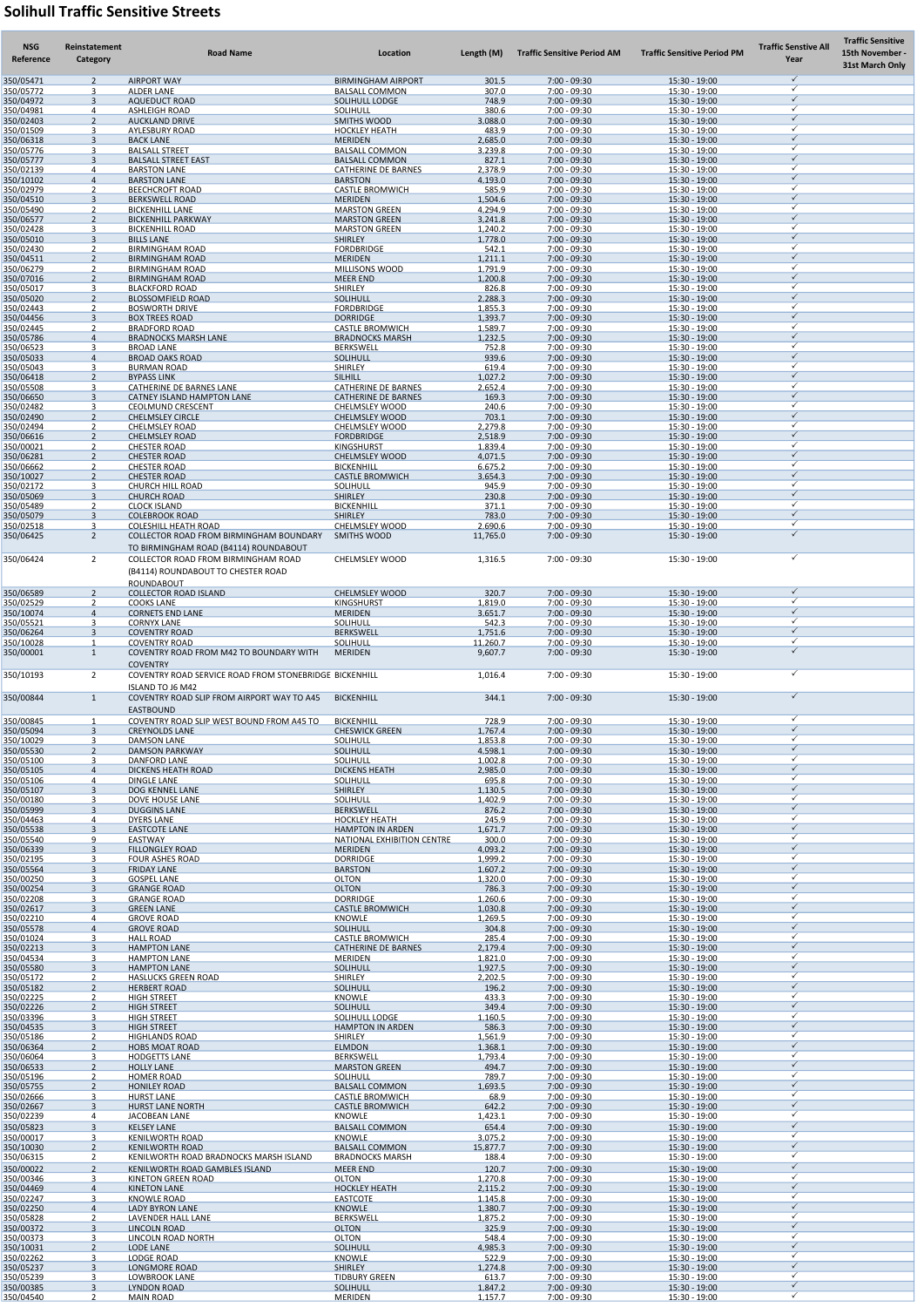## Solihull Traffic Sensitive Streets

| <b>NSG</b><br>Reference | Reinstatement<br>Category       | <b>Road Name</b>                                                                                                                | Location                                              | Length (M)          | <b>Traffic Sensitive Period AM</b> | <b>Traffic Sensitive Period PM</b> | <b>Traffic Senstive All</b><br>Year | <b>Traffic Sensitive</b><br>15th November -<br><b>31st March Only</b> |
|-------------------------|---------------------------------|---------------------------------------------------------------------------------------------------------------------------------|-------------------------------------------------------|---------------------|------------------------------------|------------------------------------|-------------------------------------|-----------------------------------------------------------------------|
| 350/05471<br>350/05772  | $\mathcal{D}$<br>ર              | <b>AIRPORT WAY</b><br><b>ALDER LANE</b>                                                                                         | <b>BIRMINGHAM AIRPORT</b><br><b>BALSALL COMMON</b>    | 301.5<br>307.0      | 7:00 - 09:30<br>7:00 - 09:30       | 15:30 - 19:00<br>15:30 - 19:00     | $\checkmark$                        |                                                                       |
| 350/04972<br>350/04981  | $\mathbf{R}$<br>4               | <b>AQUEDUCT ROAD</b><br><b>ASHLEIGH ROAD</b>                                                                                    | <b>SOLIHULL LODGE</b><br><b>SOLIHULL</b>              | 748.9<br>380.6      | $7:00 - 09:30$<br>7:00 - 09:30     | $15:30 - 19:00$<br>15:30 - 19:00   |                                     |                                                                       |
| 350/02403               | $\mathcal{L}$                   | <b>AUCKLAND DRIVE</b>                                                                                                           | <b>SMITHS WOOD</b>                                    | 3.088.0             | $7:00 - 09:30$                     | 15:30 - 19:00                      |                                     |                                                                       |
| 350/01509<br>350/06318  | ર<br>$\mathbf{R}$               | <b>AYLESBURY ROAD</b><br><b>BACK LANE</b>                                                                                       | <b>HOCKLEY HEATH</b><br><b>MERIDEN</b>                | 483.9<br>2.685.0    | 7:00 - 09:30<br>7:00 - 09:30       | 15:30 - 19:00<br>15:30 - 19:00     |                                     |                                                                       |
| 350/05776<br>350/05777  | ર<br>્ર                         | <b>BALSALL STREET</b><br><b>BALSALL STREET EAST</b>                                                                             | <b>BALSALL COMMON</b><br><b>BALSALL COMMON</b>        | 3.239.8<br>827.1    | $7:00 - 09:30$<br>$7:00 - 09:30$   | 15:30 - 19:00<br>15:30 - 19:00     |                                     |                                                                       |
| 350/02139<br>350/10102  | Δ<br>$\Delta$                   | <b>BARSTON LANE</b><br><b>BARSTON LANE</b>                                                                                      | CATHERINE DE BARNES<br><b>BARSTON</b>                 | 2.378.9<br>4.193.0  | 7:00 - 09:30<br>$7:00 - 09:30$     | 15:30 - 19:00<br>15:30 - 19:00     |                                     |                                                                       |
| 350/02979               | ົາ<br>$\mathbf{R}$              | <b>BEECHCROFT ROAD</b>                                                                                                          | <b>CASTLE BROMWICH</b>                                | 585.9               | 7:00 - 09:30                       | 15:30 - 19:00                      |                                     |                                                                       |
| 350/04510<br>350/05490  | - 2                             | <b>BERKSWELL ROAD</b><br><b>BICKENHILL LANE</b>                                                                                 | <b>MERIDEN</b><br><b>MARSTON GREEN</b>                | 1.504.6<br>4.294.9  | $7:00 - 09:30$<br>7:00 - 09:30     | 15:30 - 19:00<br>15:30 - 19:00     |                                     |                                                                       |
| 350/06577<br>350/02428  | $\mathcal{P}$<br>ર              | <b>BICKENHILL PARKWAY</b><br><b>BICKENHILL ROAD</b>                                                                             | <b>MARSTON GREEN</b><br><b>MARSTON GREEN</b>          | 3.241.8<br>1.240.2  | 7:00 - 09:30<br>7:00 - 09:30       | 15:30 - 19:00<br>15:30 - 19:00     |                                     |                                                                       |
| 350/05010<br>350/02430  | ્ર                              | <b>BILLS LANE</b><br><b>BIRMINGHAM ROAD</b>                                                                                     | <b>SHIRLEY</b><br><b>FORDBRIDGE</b>                   | 1.778.0<br>542.1    | $7:00 - 09:30$<br>7:00 - 09:30     | 15:30 - 19:00<br>15:30 - 19:00     |                                     |                                                                       |
| 350/04511               | $\mathcal{D}$                   | <b>BIRMINGHAM ROAD</b>                                                                                                          | <b>MERIDEN</b>                                        | 1.211.1<br>1.791.9  | 7:00 - 09:30<br>7:00 - 09:30       | 15:30 - 19:00<br>15:30 - 19:00     |                                     |                                                                       |
| 350/06279<br>350/07016  | $\mathcal{D}$                   | <b>BIRMINGHAM ROAD</b><br><b>BIRMINGHAM ROAD</b>                                                                                | <b>MILLISONS WOOD</b><br><b>MEER END</b>              | 1.200.8             | $7:00 - 09:30$                     | 15:30 - 19:00                      |                                     |                                                                       |
| 350/05017<br>350/05020  | ર<br>$\mathcal{P}$              | <b>BLACKFORD ROAD</b><br><b>BLOSSOMFIELD ROAD</b>                                                                               | <b>SHIRLEY</b><br><b>SOLIHULL</b>                     | 826.8<br>2.288.3    | 7:00 - 09:30<br>7:00 - 09:30       | 15:30 - 19:00<br>15:30 - 19:00     |                                     |                                                                       |
| 350/02443<br>350/04456  | - 2<br>્ર                       | <b>BOSWORTH DRIVE</b><br><b>BOX TREES ROAD</b>                                                                                  | <b>FORDBRIDGE</b><br><b>DORRIDGE</b>                  | 1.855.3<br>1.393.7  | $7:00 - 09:30$<br>$7:00 - 09:30$   | 15:30 - 19:00<br>15:30 - 19:00     |                                     |                                                                       |
| 350/02445<br>350/05786  | $\Delta$                        | <b>BRADFORD ROAD</b><br><b>BRADNOCKS MARSH LANE</b>                                                                             | <b>CASTLE BROMWICH</b><br><b>BRADNOCKS MARSH</b>      | 1.589.7<br>1.232.5  | 7:00 - 09:30<br>$7:00 - 09:30$     | 15:30 - 19:00<br>15:30 - 19:00     |                                     |                                                                       |
| 350/06523               |                                 | <b>BROAD LANE</b>                                                                                                               | <b>BERKSWELL</b>                                      | 752.8               | $7:00 - 09:30$                     | 15:30 - 19:00                      |                                     |                                                                       |
| 350/05033<br>350/05043  | $\Delta$<br>ર                   | <b>BROAD OAKS ROAD</b><br><b>BURMAN ROAD</b>                                                                                    | <b>SOLIHULL</b><br><b>SHIRLEY</b>                     | 939.6<br>619.4      | $7:00 - 09:30$<br>7:00 - 09:30     | 15:30 - 19:00<br>15:30 - 19:00     |                                     |                                                                       |
| 350/06418<br>350/05508  | $\mathcal{L}$<br>ર              | <b>BYPASS LINK</b><br>CATHERINE DE BARNES LANE                                                                                  | SILHILL<br><b>CATHERINE DE BARNES</b>                 | 1.027.2<br>2.652.4  | 7:00 - 09:30<br>7:00 - 09:30       | 15:30 - 19:00<br>15:30 - 19:00     |                                     |                                                                       |
| 350/06650               | ર                               | CATNEY ISLAND HAMPTON LANE                                                                                                      | <b>CATHERINE DE BARNES</b>                            | 169.3               | $7:00 - 09:30$                     | 15:30 - 19:00                      |                                     |                                                                       |
| 350/02482<br>350/02490  | $\mathcal{D}$                   | <b>CEOLMUND CRESCENT</b><br><b>CHELMSLEY CIRCLE</b>                                                                             | <b>CHELMSLEY WOOD</b><br><b>CHELMSLEY WOOD</b>        | 240.6<br>703.1      | 7:00 - 09:30<br>7:00 - 09:30       | 15:30 - 19:00<br>15:30 - 19:00     |                                     |                                                                       |
| 350/02494<br>350/06616  | $\mathcal{D}$                   | <b>CHELMSLEY ROAD</b><br><b>CHELMSLEY ROAD</b>                                                                                  | <b>CHELMSLEY WOOD</b><br><b>FORDBRIDGE</b>            | 2.279.8<br>2.518.9  | $7:00 - 09:30$<br>$7:00 - 09:30$   | 15:30 - 19:00<br>15:30 - 19:00     |                                     |                                                                       |
| 350/00021<br>350/06281  | $\mathcal{L}$                   | <b>CHESTER ROAD</b><br><b>CHESTER ROAD</b>                                                                                      | <b>KINGSHURST</b><br><b>CHELMSLEY WOOD</b>            | 1.839.4<br>4.071.5  | 7:00 - 09:30<br>7:00 - 09:30       | 15:30 - 19:00<br>15:30 - 19:00     |                                     |                                                                       |
| 350/06662               | - 2                             | <b>CHESTER ROAD</b>                                                                                                             | <b>BICKENHILL</b>                                     | 6.675.2             | 7:00 - 09:30                       | 15:30 - 19:00                      |                                     |                                                                       |
| 350/10027<br>350/02172  | $\mathcal{D}$                   | <b>CHESTER ROAD</b><br><b>CHURCH HILL ROAD</b>                                                                                  | <b>CASTLE BROMWICH</b><br><b>SOLIHULL</b>             | 3.654.3<br>945.9    | $7:00 - 09:30$<br>7:00 - 09:30     | 15:30 - 19:00<br>15:30 - 19:00     |                                     |                                                                       |
| 350/05069<br>350/05489  | ર                               | <b>CHURCH ROAD</b><br><b>CLOCK ISLAND</b>                                                                                       | <b>SHIRLEY</b><br><b>BICKENHILI</b>                   | 230.8<br>371.1      | $7:00 - 09:30$<br>7:00 - 09:30     | 15:30 - 19:00<br>15:30 - 19:00     |                                     |                                                                       |
| 350/05079               | ્ર                              | <b>COLEBROOK ROAD</b>                                                                                                           | <b>SHIRLEY</b><br><b>CHELMSLEY WOOD</b>               | 783.0               | $7:00 - 09:30$                     | 15:30 - 19:00                      |                                     |                                                                       |
| 350/02518<br>350/06425  | $\overline{2}$                  | <b>COLESHILL HEATH ROAD</b><br>COLLECTOR ROAD FROM BIRMINGHAM BOUNDARY                                                          | SMITHS WOOD                                           | 2.690.6<br>11,765.0 | $7:00 - 09:30$<br>$7:00 - 09:30$   | 15:30 - 19:00<br>15:30 - 19:00     |                                     |                                                                       |
| 350/06424               | 2                               | TO BIRMINGHAM ROAD (B4114) ROUNDABOUT<br><b>COLLECTOR ROAD FROM BIRMINGHAM ROAD</b><br>(B4114) ROUNDABOUT TO CHESTER ROAD       | <b>CHELMSLEY WOOD</b>                                 | 1,316.5             | $7:00 - 09:30$                     | 15:30 - 19:00                      | ✓                                   |                                                                       |
| 350/06589               | $\mathcal{P}$                   | <b>ROUNDABOUT</b><br><b>COLLECTOR ROAD ISLAND</b>                                                                               | <b>CHELMSLEY WOOD</b>                                 | 320.7               | $7:00 - 09:30$                     | 15:30 - 19:00                      | $\checkmark$                        |                                                                       |
| 350/02529<br>350/10074  | $\overline{4}$                  | <b>COOKS LANE</b><br><b>CORNETS END LANE</b>                                                                                    | <b>KINGSHURST</b><br><b>MERIDEN</b>                   | 1,819.0<br>3.651.7  | 7:00 - 09:30<br>$7:00 - 09:30$     | 15:30 - 19:00<br>15:30 - 19:00     | $\checkmark$                        |                                                                       |
| 350/05521               | 3                               | <b>CORNYX LANE</b>                                                                                                              | <b>SOLIHULL</b>                                       | 542.3               | 7:00 - 09:30                       | 15:30 - 19:00                      | $\checkmark$                        |                                                                       |
| 350/06264<br>350/10028  | 3                               | <b>COVENTRY ROAD</b><br><b>COVENTRY ROAD</b>                                                                                    | <b>BERKSWELL</b><br><b>SOLIHULL</b>                   | 1,751.6<br>11,260.7 | $7:00 - 09:30$<br>7:00 - 09:30     | 15:30 - 19:00<br>15:30 - 19:00     | ✓                                   |                                                                       |
| 350/00001               | $\mathbf{1}$                    | COVENTRY ROAD FROM M42 TO BOUNDARY WITH<br><b>COVENTRY</b>                                                                      | <b>MERIDEN</b>                                        | 9,607.7             | $7:00 - 09:30$                     | 15:30 - 19:00                      | $\checkmark$                        |                                                                       |
| 350/10193<br>350/00844  | 2<br>$\mathbf{1}$               | COVENTRY ROAD SERVICE ROAD FROM STONEBRIDGE BICKENHILL<br><b>ISLAND TO J6 M42</b><br>COVENTRY ROAD SLIP FROM AIRPORT WAY TO A45 | <b>BICKENHILL</b>                                     | 1,016.4<br>344.1    | 7:00 - 09:30<br>7:00 - 09:30       | 15:30 - 19:00<br>15:30 - 19:00     | ✓<br>$\checkmark$                   |                                                                       |
|                         |                                 | <b>EASTBOUND</b>                                                                                                                |                                                       |                     |                                    |                                    | $\checkmark$                        |                                                                       |
| 350/00845<br>350/05094  | $\mathbf 1$<br>$\overline{3}$   | COVENTRY ROAD SLIP WEST BOUND FROM A45 TO<br><b>CREYNOLDS LANE</b>                                                              | <b>BICKENHILL</b><br><b>CHESWICK GREEN</b>            | 728.9<br>1,767.4    | 7:00 - 09:30<br>$7:00 - 09:30$     | 15:30 - 19:00<br>15:30 - 19:00     | $\checkmark$                        |                                                                       |
| 350/10029<br>350/05530  | 3<br>$\mathfrak{D}$             | <b>DAMSON LANE</b><br><b>DAMSON PARKWAY</b>                                                                                     | <b>SOLIHULL</b><br><b>SOLIHULL</b>                    | 1,853.8<br>4,598.1  | 7:00 - 09:30<br>7:00 - 09:30       | 15:30 - 19:00<br>15:30 - 19:00     | $\checkmark$                        |                                                                       |
| 350/05100<br>350/05105  | 3<br>$\overline{4}$             | <b>DANFORD LANE</b><br><b>DICKENS HEATH ROAD</b>                                                                                | SOLIHULL<br><b>DICKENS HEATH</b>                      | 1,002.8<br>2,985.0  | 7:00 - 09:30<br>$7:00 - 09:30$     | 15:30 - 19:00<br>15:30 - 19:00     | $\checkmark$                        |                                                                       |
| 350/05106               | 4                               | <b>DINGLE LANE</b>                                                                                                              | <b>SOLIHULL</b>                                       | 695.8               | 7:00 - 09:30                       | 15:30 - 19:00                      | $\checkmark$                        |                                                                       |
| 350/05107<br>350/00180  | $\mathbf{3}$<br>3               | DOG KENNEL LANE<br>DOVE HOUSE LANE                                                                                              | <b>SHIRLEY</b><br>SOLIHULL                            | 1,130.5<br>1,402.9  | 7:00 - 09:30<br>7:00 - 09:30       | 15:30 - 19:00<br>15:30 - 19:00     |                                     |                                                                       |
| 350/05999<br>350/04463  | $\mathbf{3}$<br>4               | <b>DUGGINS LANE</b><br><b>DYERS LANE</b>                                                                                        | <b>BERKSWELL</b><br><b>HOCKLEY HEATH</b>              | 876.2<br>245.9      | 7:00 - 09:30<br>7:00 - 09:30       | 15:30 - 19:00<br>15:30 - 19:00     | $\checkmark$                        |                                                                       |
| 350/05538<br>350/05540  | $\overline{3}$<br>9             | <b>EASTCOTE LANE</b><br>EASTWAY                                                                                                 | <b>HAMPTON IN ARDEN</b><br>NATIONAL EXHIBITION CENTRE | 1,671.7<br>300.0    | 7:00 - 09:30<br>7:00 - 09:30       | 15:30 - 19:00<br>15:30 - 19:00     | $\checkmark$                        |                                                                       |
| 350/06339               | $\mathbf{3}$                    | <b>FILLONGLEY ROAD</b>                                                                                                          | <b>MERIDEN</b>                                        | 4,093.2             | $7:00 - 09:30$                     | 15:30 - 19:00                      | $\checkmark$                        |                                                                       |
| 350/02195<br>350/05564  | 3<br>$\mathbf{3}$               | <b>FOUR ASHES ROAD</b><br><b>FRIDAY LANE</b>                                                                                    | <b>DORRIDGE</b><br><b>BARSTON</b>                     | 1,999.2<br>1,607.2  | 7:00 - 09:30<br>7:00 - 09:30       | 15:30 - 19:00<br>15:30 - 19:00     | $\checkmark$                        |                                                                       |
| 350/00250<br>350/00254  | 3<br>$\mathbf{3}$               | <b>GOSPEL LANE</b><br><b>GRANGE ROAD</b>                                                                                        | <b>OLTON</b><br><b>OLTON</b>                          | 1,320.0<br>786.3    | 7:00 - 09:30<br>7:00 - 09:30       | 15:30 - 19:00<br>15:30 - 19:00     | $\checkmark$                        |                                                                       |
| 350/02208<br>350/02617  | 3<br>$\mathbf{3}$               | <b>GRANGE ROAD</b><br><b>GREEN LANE</b>                                                                                         | <b>DORRIDGE</b><br><b>CASTLE BROMWICH</b>             | 1,260.6<br>1,030.8  | 7:00 - 09:30<br>7:00 - 09:30       | 15:30 - 19:00<br>15:30 - 19:00     | $\checkmark$                        |                                                                       |
| 350/02210               | 4                               | <b>GROVE ROAD</b>                                                                                                               | <b>KNOWLE</b>                                         | 1,269.5             | 7:00 - 09:30                       | 15:30 - 19:00                      | $\checkmark$                        |                                                                       |
| 350/05578<br>350/01024  | $\overline{4}$<br>3             | <b>GROVE ROAD</b><br><b>HALL ROAD</b>                                                                                           | SOLIHULL<br><b>CASTLE BROMWICH</b>                    | 304.8<br>285.4      | $7:00 - 09:30$<br>7:00 - 09:30     | 15:30 - 19:00<br>15:30 - 19:00     |                                     |                                                                       |
| 350/02213<br>350/04534  | $\mathbf{3}$<br>3               | <b>HAMPTON LANE</b><br><b>HAMPTON LANE</b>                                                                                      | <b>CATHERINE DE BARNES</b><br><b>MERIDEN</b>          | 2,179.4<br>1,821.0  | 7:00 - 09:30<br>7:00 - 09:30       | 15:30 - 19:00<br>15:30 - 19:00     | $\checkmark$                        |                                                                       |
| 350/05580<br>350/05172  | 3<br>2                          | <b>HAMPTON LANE</b><br><b>HASLUCKS GREEN ROAD</b>                                                                               | <b>SOLIHULL</b><br><b>SHIRLEY</b>                     | 1,927.5<br>2,202.5  | $7:00 - 09:30$<br>7:00 - 09:30     | 15:30 - 19:00<br>15:30 - 19:00     | $\checkmark$                        |                                                                       |
| 350/05182               | $\mathfrak{D}$                  | <b>HERBERT ROAD</b>                                                                                                             | <b>SOLIHULL</b>                                       | 196.2               | $7:00 - 09:30$                     | 15:30 - 19:00                      | $\checkmark$                        |                                                                       |
| 350/02225<br>350/02226  | 2<br>$\overline{2}$             | <b>HIGH STREET</b><br><b>HIGH STREET</b>                                                                                        | <b>KNOWLE</b><br>SOLIHULL                             | 433.3<br>349.4      | 7:00 - 09:30<br>7:00 - 09:30       | 15:30 - 19:00<br>15:30 - 19:00     | $\checkmark$                        |                                                                       |
| 350/03396<br>350/04535  | $\mathbf{r}$<br>$\mathbf{a}$    | <b>HIGH STREET</b><br><b>HIGH STREET</b>                                                                                        | SOLIHULL LODGE<br><b>HAMPTON IN ARDEN</b>             | 1,160.5<br>586.3    | 7:00 - 09:30<br>$7:00 - 09:30$     | 15:30 - 19:00<br>15:30 - 19:00     | $\checkmark$                        |                                                                       |
| 350/05186<br>350/06364  | $\mathcal{D}$                   | <b>HIGHLANDS ROAD</b><br><b>HOBS MOAT ROAD</b>                                                                                  | <b>SHIRLEY</b><br><b>ELMDON</b>                       | 1,561.9<br>1,368.1  | $7:00 - 09:30$<br>$7:00 - 09:30$   | 15:30 - 19:00<br>15:30 - 19:00     | $\checkmark$                        |                                                                       |
| 350/06064               | 3                               | <b>HODGETTS LANE</b>                                                                                                            | <b>BERKSWELL</b>                                      | 1,793.4             | $7:00 - 09:30$                     | 15:30 - 19:00                      | $\checkmark$                        |                                                                       |
| 350/06533<br>350/05196  | $\mathcal{P}$<br>2              | <b>HOLLY LANE</b><br><b>HOMER ROAD</b>                                                                                          | <b>MARSTON GREEN</b><br>SOLIHULL                      | 494.7<br>789.7      | $7:00 - 09:30$<br>7:00 - 09:30     | 15:30 - 19:00<br>15:30 - 19:00     |                                     |                                                                       |
| 350/05755<br>350/02666  | $\mathcal{P}$<br>3              | <b>HONILEY ROAD</b><br><b>HURST LANE</b>                                                                                        | <b>BALSALL COMMON</b><br><b>CASTLE BROMWICH</b>       | 1,693.5<br>68.9     | $7:00 - 09:30$<br>$7:00 - 09:30$   | 15:30 - 19:00<br>15:30 - 19:00     | $\checkmark$                        |                                                                       |
| 350/02667<br>350/02239  | 3<br>4                          | <b>HURST LANE NORTH</b><br>JACOBEAN LANE                                                                                        | <b>CASTLE BROMWICH</b><br>KNOWLE                      | 642.2<br>1,423.1    | $7:00 - 09:30$<br>7:00 - 09:30     | $15:30 - 19:00$<br>15:30 - 19:00   | $\checkmark$                        |                                                                       |
| 350/05823               | $\overline{3}$                  | <b>KELSEY LANE</b>                                                                                                              | <b>BALSALL COMMON</b>                                 | 654.4               | $7:00 - 09:30$                     | 15:30 - 19:00                      | ✓                                   |                                                                       |
| 350/00017<br>350/10030  | 3<br>$\mathcal{P}$              | <b>KENILWORTH ROAD</b><br><b>KENILWORTH ROAD</b>                                                                                | <b>KNOWLE</b><br><b>BALSALL COMMON</b>                | 3,075.2<br>15,877.7 | 7:00 - 09:30<br>$7:00 - 09:30$     | 15:30 - 19:00<br>15:30 - 19:00     |                                     |                                                                       |
| 350/06315               | 2                               | KENILWORTH ROAD BRADNOCKS MARSH ISLAND                                                                                          | <b>BRADNOCKS MARSH</b>                                | 188.4               | 7:00 - 09:30                       | 15:30 - 19:00                      |                                     |                                                                       |
| 350/00022<br>350/00346  | $\mathfrak{D}$<br>3             | KENILWORTH ROAD GAMBLES ISLAND<br>KINETON GREEN ROAD                                                                            | <b>MEER END</b><br><b>OLTON</b>                       | 120.7<br>1.270.8    | $7:00 - 09:30$<br>7:00 - 09:30     | 15:30 - 19:00<br>15:30 - 19:00     | ✓                                   |                                                                       |
| 350/04469<br>350/02247  | $\overline{4}$<br>3             | <b>KINETON LANE</b><br><b>KNOWLE ROAD</b>                                                                                       | <b>HOCKLEY HEATH</b><br><b>EASTCOTE</b>               | 2.115.2<br>1.145.8  | 7:00 - 09:30<br>$7:00 - 09:30$     | 15:30 - 19:00<br>15:30 - 19:00     |                                     |                                                                       |
| 350/02250<br>350/05828  | $\overline{4}$<br>$\mathcal{P}$ | <b>LADY BYRON LANE</b><br>LAVENDER HALL LANE                                                                                    | <b>KNOWLE</b><br><b>BERKSWELL</b>                     | 1.380.7<br>1.875.2  | 7:00 - 09:30<br>7:00 - 09:30       | 15:30 - 19:00<br>15:30 - 19:00     | ✓                                   |                                                                       |
| 350/00372               | 3                               | <b>LINCOLN ROAD</b>                                                                                                             | <b>OLTON</b>                                          | 325.9               | $7:00 - 09:30$                     | 15:30 - 19:00                      |                                     |                                                                       |
| 350/00373<br>350/10031  | 3<br>$\overline{2}$             | LINCOLN ROAD NORTH<br><b>LODE LANE</b>                                                                                          | <b>OLTON</b><br><b>SOLIHULL</b>                       | 548.4<br>4.985.3    | $7:00 - 09:30$<br>7:00 - 09:30     | 15:30 - 19:00<br>15:30 - 19:00     | $\checkmark$                        |                                                                       |
| 350/02262<br>350/05237  | 3<br>3                          | <b>LODGE ROAD</b><br><b>LONGMORE ROAD</b>                                                                                       | <b>KNOWLE</b><br><b>SHIRLEY</b>                       | 522.9<br>1.274.8    | 7:00 - 09:30<br>$7:00 - 09:30$     | 15:30 - 19:00<br>15:30 - 19:00     | ✓                                   |                                                                       |
| 350/05239<br>350/00385  | 3<br>3                          | <b>LOWBROOK LANE</b>                                                                                                            | <b>TIDBURY GREEN</b><br><b>SOLIHULL</b>               | 613.7<br>1.847.2    | 7:00 - 09:30<br>7:00 - 09:30       | 15:30 - 19:00<br>15:30 - 19:00     | $\checkmark$<br>$\checkmark$        |                                                                       |
| 350/04540               | 2                               | <b>LYNDON ROAD</b><br><b>MAIN ROAD</b>                                                                                          | <b>MERIDEN</b>                                        | 1.157.7             | 7:00 - 09:30                       | 15:30 - 19:00                      | ✓                                   |                                                                       |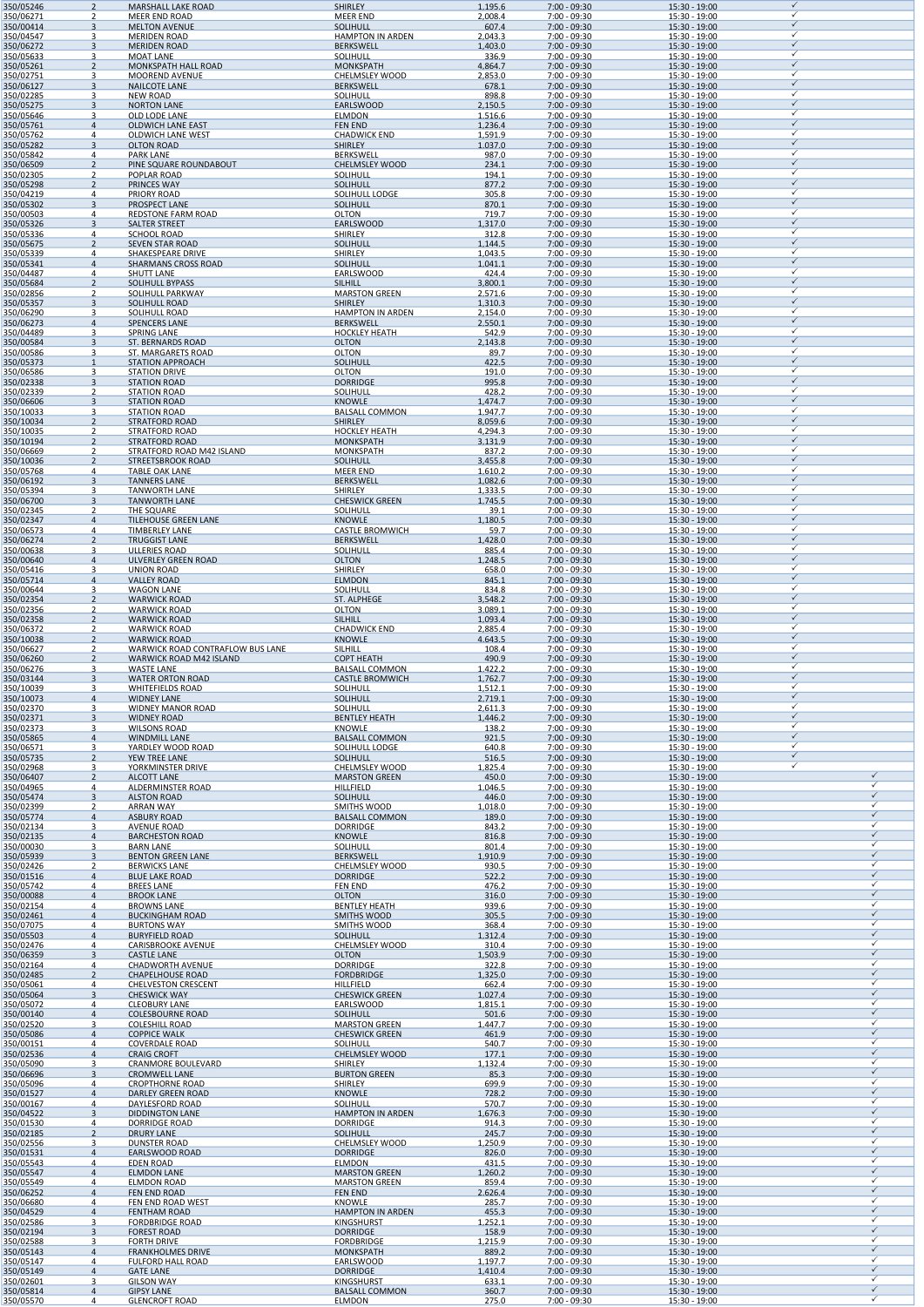| $\mathcal{D}$                                                                                                                                                                                                                                                         | <b>MARSHALL LAKE ROAD</b>                               | <b>SHIRLEY</b>                               | 1.195.6            | 7:00 - 09:30                     |                                  |                   |
|-----------------------------------------------------------------------------------------------------------------------------------------------------------------------------------------------------------------------------------------------------------------------|---------------------------------------------------------|----------------------------------------------|--------------------|----------------------------------|----------------------------------|-------------------|
| 350/06271<br>350/00414<br>$\overline{3}$                                                                                                                                                                                                                              | <b>MEER END ROAD</b><br><b>MELTON AVENUE</b>            | <b>MEER END</b><br><b>SOLIHULL</b>           | 2,008.4<br>607.4   | 7:00 - 09:30<br>$7:00 - 09:30$   | 15:30 - 19:00<br>15:30 - 19:00   | ✓                 |
| 350/04547<br>3                                                                                                                                                                                                                                                        | <b>MERIDEN ROAD</b>                                     | <b>HAMPTON IN ARDEN</b>                      | 2.043.3            | 7:00 - 09:30                     | 15:30 - 19:00                    |                   |
| 350/06272<br>3<br>350/05633<br>3                                                                                                                                                                                                                                      | <b>MERIDEN ROAD</b>                                     | <b>BERKSWELL</b>                             | 1,403.0<br>336.9   | $7:00 - 09:30$<br>7:00 - 09:30   | 15:30 - 19:00<br>15:30 - 19:00   | ✓<br>✓            |
| 350/05261<br>$\mathcal{P}$                                                                                                                                                                                                                                            | <b>MOAT LANE</b><br><b>MONKSPATH HALL ROAD</b>          | <b>SOLIHULL</b><br><b>MONKSPATH</b>          | 4,864.7            | $7:00 - 09:30$                   | 15:30 - 19:00                    | ✓                 |
| 350/02751<br>3                                                                                                                                                                                                                                                        | <b>MOOREND AVENUE</b>                                   | <b>CHELMSLEY WOOD</b>                        | 2,853.0            | 7:00 - 09:30                     | 15:30 - 19:00                    |                   |
| 350/06127<br>$\mathbf{3}$<br>3                                                                                                                                                                                                                                        | <b>NAILCOTE LANE</b>                                    | <b>BERKSWELL</b>                             | 678.1<br>898.8     | $7:00 - 09:30$<br>7:00 - 09:30   | 15:30 - 19:00<br>15:30 - 19:00   |                   |
| 350/02285<br>350/05275<br>$\overline{3}$                                                                                                                                                                                                                              | <b>NEW ROAD</b><br><b>NORTON LANE</b>                   | <b>SOLIHULL</b><br><b>EARLSWOOD</b>          | 2.150.5            | $7:00 - 09:30$                   | 15:30 - 19:00                    |                   |
| 350/05646<br>ર                                                                                                                                                                                                                                                        | OLD LODE LANE                                           | <b>ELMDON</b>                                | 1,516.6            | 7:00 - 09:30                     | 15:30 - 19:00                    |                   |
| 350/05761<br>$\Delta$<br>350/05762<br>4                                                                                                                                                                                                                               | <b>OLDWICH LANE EAST</b><br><b>OLDWICH LANE WEST</b>    | <b>FEN END</b><br><b>CHADWICK END</b>        | 1.236.4<br>1,591.9 | $7:00 - 09:30$<br>7:00 - 09:30   | 15:30 - 19:00<br>15:30 - 19:00   |                   |
| 350/05282<br>3                                                                                                                                                                                                                                                        | <b>OLTON ROAD</b>                                       | <b>SHIRLEY</b>                               | 1.037.0            | $7:00 - 09:30$                   | 15:30 - 19:00                    | ✓                 |
| 350/05842<br>4                                                                                                                                                                                                                                                        | <b>PARK LANE</b>                                        | <b>BERKSWELL</b>                             | 987.0              | 7:00 - 09:30                     | 15:30 - 19:00                    | ✓                 |
| 350/06509<br>$\mathcal{P}$<br>350/02305<br>$\mathcal{P}$                                                                                                                                                                                                              | PINE SQUARE ROUNDABOUT<br><b>POPLAR ROAD</b>            | <b>CHELMSLEY WOOD</b><br><b>SOLIHULL</b>     | 234.1<br>194.1     | $7:00 - 09:30$<br>7:00 - 09:30   | 15:30 - 19:00<br>15:30 - 19:00   |                   |
| 350/05298<br>$\mathcal{P}$                                                                                                                                                                                                                                            | <b>PRINCES WAY</b>                                      | SOLIHULL                                     | 877.2              | $7:00 - 09:30$                   | 15:30 - 19:00                    | ✓                 |
| 350/04219<br>4                                                                                                                                                                                                                                                        | <b>PRIORY ROAD</b>                                      | <b>SOLIHULL LODGE</b>                        | 305.8              | 7:00 - 09:30                     | 15:30 - 19:00                    |                   |
| 350/05302<br>$\overline{3}$<br>350/00503<br>4                                                                                                                                                                                                                         | <b>PROSPECT LANE</b><br><b>REDSTONE FARM ROAD</b>       | SOLIHULL<br><b>OLTON</b>                     | 870.1<br>719.7     | $7:00 - 09:30$<br>7:00 - 09:30   | 15:30 - 19:00<br>15:30 - 19:00   |                   |
| 350/05326<br>$\overline{3}$                                                                                                                                                                                                                                           | <b>SALTER STREET</b>                                    | <b>EARLSWOOD</b>                             | 1,317.0            | $7:00 - 09:30$                   | 15:30 - 19:00                    | ✓                 |
| 350/05336<br>4<br>$\mathcal{P}$                                                                                                                                                                                                                                       | <b>SCHOOL ROAD</b>                                      | <b>SHIRLEY</b>                               | 312.8              | 7:00 - 09:30<br>$7:00 - 09:30$   | 15:30 - 19:00                    | ✓                 |
| 350/05675<br>350/05339<br>4                                                                                                                                                                                                                                           | <b>SEVEN STAR ROAD</b><br>SHAKESPEARE DRIVE             | SOLIHULL<br><b>SHIRLEY</b>                   | 1.144.5<br>1.043.5 | 7:00 - 09:30                     | 15:30 - 19:00<br>15:30 - 19:00   | ✓                 |
| 350/05341<br>4                                                                                                                                                                                                                                                        | <b>SHARMANS CROSS ROAD</b>                              | <b>SOLIHULL</b>                              | 1.041.1            | $7:00 - 09:30$                   | 15:30 - 19:00                    | ✓                 |
| 350/04487<br>4<br>350/05684<br>$\mathcal{P}$                                                                                                                                                                                                                          | <b>SHUTT LANE</b><br><b>SOLIHULL BYPASS</b>             | <b>EARLSWOOD</b><br><b>SILHILL</b>           | 424.4<br>3,800.1   | 7:00 - 09:30<br>$7:00 - 09:30$   | 15:30 - 19:00<br>15:30 - 19:00   |                   |
| 350/02856<br>$\mathcal{P}$                                                                                                                                                                                                                                            | SOLIHULL PARKWAY                                        | <b>MARSTON GREEN</b>                         | 2,571.6            | 7:00 - 09:30                     | 15:30 - 19:00                    | ✓                 |
| 350/05357<br>$\mathbf{3}$                                                                                                                                                                                                                                             | <b>SOLIHULL ROAD</b>                                    | <b>SHIRLEY</b>                               | 1,310.3            | $7:00 - 09:30$                   | 15:30 - 19:00                    |                   |
| 350/06290<br>ર<br>350/06273<br>$\Delta$                                                                                                                                                                                                                               | <b>SOLIHULL ROAD</b><br><b>SPENCERS LANE</b>            | <b>HAMPTON IN ARDEN</b><br><b>BERKSWELL</b>  | 2,154.0<br>2,550.1 | 7:00 - 09:30<br>$7:00 - 09:30$   | 15:30 - 19:00<br>15:30 - 19:00   | ✓                 |
| 350/04489<br>3                                                                                                                                                                                                                                                        | <b>SPRING LANE</b>                                      | <b>HOCKLEY HEATH</b>                         | 542.9              | 7:00 - 09:30                     | 15:30 - 19:00                    | ✓                 |
| 350/00584<br>$\mathbf{3}$<br>ર                                                                                                                                                                                                                                        | ST. BERNARDS ROAD                                       | <b>OLTON</b><br><b>OLTON</b>                 | 2.143.8            | $7:00 - 09:30$<br>7:00 - 09:30   | 15:30 - 19:00<br>15:30 - 19:00   | ✓<br>✓            |
| 350/00586<br>350/05373                                                                                                                                                                                                                                                | ST. MARGARETS ROAD<br><b>STATION APPROACH</b>           | SOLIHULL                                     | 89.7<br>422.5      | $7:00 - 09:30$                   | 15:30 - 19:00                    | ✓                 |
| 350/06586<br>3                                                                                                                                                                                                                                                        | <b>STATION DRIVE</b>                                    | <b>OLTON</b>                                 | 191.0              | 7:00 - 09:30                     | 15:30 - 19:00                    | ✓                 |
| 350/02338<br>$\mathbf{3}$<br>350/02339<br>$\mathcal{P}$                                                                                                                                                                                                               | <b>STATION ROAD</b><br><b>STATION ROAD</b>              | <b>DORRIDGE</b><br><b>SOLIHULL</b>           | 995.8<br>428.2     | $7:00 - 09:30$<br>7:00 - 09:30   | 15:30 - 19:00<br>15:30 - 19:00   |                   |
| 350/06606<br>3                                                                                                                                                                                                                                                        | <b>STATION ROAD</b>                                     | <b>KNOWLE</b>                                | 1,474.7            | $7:00 - 09:30$                   | 15:30 - 19:00                    |                   |
| 350/10033<br>3                                                                                                                                                                                                                                                        | <b>STATION ROAD</b>                                     | <b>BALSALL COMMON</b>                        | 1,947.7            | 7:00 - 09:30                     | 15:30 - 19:00                    | ✓<br>✓            |
| 350/10034<br>$\mathfrak{D}$<br>350/10035<br>$\mathcal{P}$                                                                                                                                                                                                             | <b>STRATFORD ROAD</b><br><b>STRATFORD ROAD</b>          | <b>SHIRLEY</b><br><b>HOCKLEY HEATH</b>       | 8.059.6<br>4,294.3 | $7:00 - 09:30$<br>7:00 - 09:30   | 15:30 - 19:00<br>15:30 - 19:00   | ✓                 |
| 350/10194<br>$\mathcal{P}$                                                                                                                                                                                                                                            | <b>STRATFORD ROAD</b>                                   | <b>MONKSPATH</b>                             | 3.131.9            | $7:00 - 09:30$                   | 15:30 - 19:00                    | ✓                 |
| 350/06669<br>$\mathcal{P}$<br>$\mathcal{P}$                                                                                                                                                                                                                           | STRATFORD ROAD M42 ISLAND                               | <b>MONKSPATH</b>                             | 837.2              | 7:00 - 09:30                     | 15:30 - 19:00                    | ✓<br>✓            |
| 350/10036<br>350/05768<br>4                                                                                                                                                                                                                                           | STREETSBROOK ROAD<br><b>TABLE OAK LANE</b>              | <b>SOLIHULL</b><br><b>MEER END</b>           | 3,455.8<br>1,610.2 | $7:00 - 09:30$<br>7:00 - 09:30   | 15:30 - 19:00<br>15:30 - 19:00   |                   |
| 350/06192<br>$\overline{3}$                                                                                                                                                                                                                                           | <b>TANNERS LANE</b>                                     | <b>BERKSWELL</b>                             | 1.082.6            | $7:00 - 09:30$                   | 15:30 - 19:00                    | ✓                 |
| 350/05394<br>3<br>350/06700<br>$\mathbf{3}$                                                                                                                                                                                                                           | <b>TANWORTH LANE</b><br><b>TANWORTH LANE</b>            | <b>SHIRLEY</b><br><b>CHESWICK GREEN</b>      | 1,333.5<br>1,745.5 | 7:00 - 09:30<br>7:00 - 09:30     | 15:30 - 19:00<br>15:30 - 19:00   | ✓                 |
| 350/02345<br>$\mathcal{D}$                                                                                                                                                                                                                                            | <b>THE SQUARE</b>                                       | <b>SOLIHULL</b>                              | 39.1               | 7:00 - 09:30                     | 15:30 - 19:00                    | ✓                 |
| 350/02347<br>$\Delta$                                                                                                                                                                                                                                                 | <b>TILEHOUSE GREEN LANE</b>                             | <b>KNOWLE</b>                                | 1.180.5            | $7:00 - 09:30$                   | 15:30 - 19:00                    | $\checkmark$      |
| 350/06573<br>4<br>350/06274<br>$\mathcal{P}$                                                                                                                                                                                                                          | <b>TIMBERLEY LANE</b><br><b>TRUGGIST LANE</b>           | <b>CASTLE BROMWICH</b><br><b>BERKSWELL</b>   | 59.7<br>1,428.0    | 7:00 - 09:30<br>$7:00 - 09:30$   | 15:30 - 19:00<br>15:30 - 19:00   | ✓                 |
| 350/00638<br>3                                                                                                                                                                                                                                                        | <b>ULLERIES ROAD</b>                                    | <b>SOLIHULL</b>                              | 885.4              | 7:00 - 09:30                     | 15:30 - 19:00                    | ✓                 |
| 350/00640<br>$\overline{4}$                                                                                                                                                                                                                                           | <b>ULVERLEY GREEN ROAD</b>                              | <b>OLTON</b>                                 | 1,248.5            | $7:00 - 09:30$                   | 15:30 - 19:00                    | ✓<br>✓            |
| 350/05416<br>3<br>350/05714<br>$\overline{4}$                                                                                                                                                                                                                         | <b>UNION ROAD</b><br><b>VALLEY ROAD</b>                 | <b>SHIRLEY</b><br><b>ELMDON</b>              | 658.0<br>845.1     | 7:00 - 09:30<br>$7:00 - 09:30$   | 15:30 - 19:00<br>15:30 - 19:00   |                   |
| 350/00644<br>3                                                                                                                                                                                                                                                        | <b>WAGON LANE</b>                                       | <b>SOLIHULL</b>                              | 834.8              | 7:00 - 09:30                     | 15:30 - 19:00                    | ✓                 |
| 350/02354<br>$\mathfrak{D}$                                                                                                                                                                                                                                           | <b>WARWICK ROAD</b>                                     | ST. ALPHEGE                                  | 3,548.2            | $7:00 - 09:30$                   | 15:30 - 19:00                    | ✓                 |
| 350/02356<br>$\mathcal{P}$<br>350/02358<br>$\mathfrak{D}$                                                                                                                                                                                                             | <b>WARWICK ROAD</b><br><b>WARWICK ROAD</b>              | <b>OLTON</b><br><b>SILHILL</b>               | 3,089.1<br>1,093.4 | 7:00 - 09:30<br>$7:00 - 09:30$   | 15:30 - 19:00<br>15:30 - 19:00   |                   |
| 350/06372<br>$\mathcal{P}$                                                                                                                                                                                                                                            | <b>WARWICK ROAD</b>                                     | <b>CHADWICK END</b>                          | 2,885.4            | 7:00 - 09:30                     | 15:30 - 19:00                    | ✓                 |
| 350/10038<br>$\mathcal{P}$<br>350/06627<br>$\mathcal{P}$                                                                                                                                                                                                              | <b>WARWICK ROAD</b><br>WARWICK ROAD CONTRAFLOW BUS LANE | <b>KNOWLE</b><br><b>SILHILL</b>              | 4,643.5<br>108.4   | $7:00 - 09:30$<br>7:00 - 09:30   | 15:30 - 19:00<br>15:30 - 19:00   | ✓<br>✓            |
| 350/06260<br>$\mathcal{P}$                                                                                                                                                                                                                                            | WARWICK ROAD M42 ISLAND                                 | <b>COPT HEATH</b>                            | 490.9              | 7:00 - 09:30                     | 15:30 - 19:00                    | ✓                 |
| 350/06276<br>3                                                                                                                                                                                                                                                        | <b>WASTE LANE</b>                                       | <b>BALSALL COMMON</b>                        | 1,422.2            | $7:00 - 09:30$                   | 15:30 - 19:00                    | ✓<br>✓            |
| 350/03144<br>3<br>350/10039<br>ર                                                                                                                                                                                                                                      | <b>WATER ORTON ROAD</b><br><b>WHITEFIELDS ROAD</b>      | <b>CASTLE BROMWICH</b><br><b>SOLIHULL</b>    | 1,762.7<br>1,512.1 | $7:00 - 09:30$<br>7:00 - 09:30   | 15:30 - 19:00<br>15:30 - 19:00   |                   |
| 350/10073<br>$\Delta$                                                                                                                                                                                                                                                 | <b>WIDNEY LANE</b>                                      | SOLIHULL                                     | 2,719.1            | $7:00 - 09:30$                   | 15:30 - 19:00                    |                   |
| 350/02370<br>3                                                                                                                                                                                                                                                        | <b>WIDNEY MANOR ROAD</b>                                | <b>SOLIHULL</b>                              | 2,611.3            | 7:00 - 09:30                     | 15:30 - 19:00                    | ✓<br>✓            |
| 350/02371<br>$\overline{3}$<br>350/02373<br>3                                                                                                                                                                                                                         | <b>WIDNEY ROAD</b><br><b>WILSONS ROAD</b>               | <b>BENTLEY HEATH</b><br><b>KNOWLE</b>        | 1,446.2<br>138.2   | $7:00 - 09:30$<br>7:00 - 09:30   | 15:30 - 19:00<br>15:30 - 19:00   |                   |
| 350/05865<br>$\overline{4}$                                                                                                                                                                                                                                           | <b>WINDMILL LANE</b>                                    | <b>BALSALL COMMON</b>                        | 921.5              | $7:00 - 09:30$                   | 15:30 - 19:00                    | ✓                 |
| 350/06571<br>3<br>350/05735<br>$\mathcal{P}$                                                                                                                                                                                                                          | YARDLEY WOOD ROAD<br>YEW TREE LANE                      | SOLIHULL LODGE<br>SOLIHULL                   | 640.8<br>516.5     | $7:00 - 09:30$<br>$7:00 - 09:30$ | 15:30 - 19:00<br>15:30 - 19:00   | ✓<br>✓            |
| 350/02968<br>3                                                                                                                                                                                                                                                        | YORKMINSTER DRIVE                                       | <b>CHELMSLEY WOOD</b>                        | 1,825.4            | 7:00 - 09:30                     | 15:30 - 19:00                    |                   |
| 350/06407<br>$\mathcal{P}$                                                                                                                                                                                                                                            | <b>ALCOTT LANE</b>                                      | <b>MARSTON GREEN</b>                         | 450.0              | $7:00 - 09:30$                   | 15:30 - 19:00                    | ✓                 |
| 350/04965<br>4                                                                                                                                                                                                                                                        |                                                         |                                              |                    |                                  |                                  |                   |
|                                                                                                                                                                                                                                                                       | <b>ALDERMINSTER ROAD</b>                                | <b>HILLFIELD</b>                             | 1,046.5            | 7:00 - 09:30                     | 15:30 - 19:00                    | ✓<br>$\checkmark$ |
| $\overline{3}$<br>$\mathcal{P}$                                                                                                                                                                                                                                       | <b>ALSTON ROAD</b><br><b>ARRAN WAY</b>                  | SOLIHULL<br><b>SMITHS WOOD</b>               | 446.0<br>1,018.0   | $7:00 - 09:30$<br>7:00 - 09:30   | 15:30 - 19:00<br>15:30 - 19:00   |                   |
| $\overline{4}$                                                                                                                                                                                                                                                        | <b>ASBURY ROAD</b>                                      | <b>BALSALL COMMON</b>                        | 189.0              | $7:00 - 09:30$                   | 15:30 - 19:00                    |                   |
| 3<br>$\overline{4}$                                                                                                                                                                                                                                                   | <b>AVENUE ROAD</b><br><b>BARCHESTON ROAD</b>            | <b>DORRIDGE</b><br><b>KNOWLE</b>             | 843.2<br>816.8     | 7:00 - 09:30<br>$7:00 - 09:30$   | 15:30 - 19:00<br>15:30 - 19:00   |                   |
| 3                                                                                                                                                                                                                                                                     | <b>BARN LANE</b>                                        | <b>SOLIHULL</b>                              | 801.4              | 7:00 - 09:30                     | 15:30 - 19:00                    |                   |
| $\mathbf{R}$<br>$\mathcal{P}$                                                                                                                                                                                                                                         | <b>BENTON GREEN LANE</b>                                | <b>BERKSWELL</b>                             | 1,910.9            | 7:00 - 09:30                     | 15:30 - 19:00                    |                   |
| 4                                                                                                                                                                                                                                                                     | <b>BERWICKS LANE</b><br><b>BLUE LAKE ROAD</b>           | <b>CHELMSLEY WOOD</b><br><b>DORRIDGE</b>     | 930.5<br>522.2     | 7:00 - 09:30<br>$7:00 - 09:30$   | 15:30 - 19:00<br>15:30 - 19:00   |                   |
| 4                                                                                                                                                                                                                                                                     | <b>BREES LANE</b>                                       | <b>FEN END</b>                               | 476.2              | 7:00 - 09:30                     | 15:30 - 19:00                    |                   |
| $\Delta$<br>4                                                                                                                                                                                                                                                         | <b>BROOK LANE</b>                                       | <b>OLTON</b>                                 | 316.0              | $7:00 - 09:30$                   | 15:30 - 19:00                    |                   |
| $\Delta$                                                                                                                                                                                                                                                              | <b>BROWNS LANE</b><br><b>BUCKINGHAM ROAD</b>            | <b>BENTLEY HEATH</b><br><b>SMITHS WOOD</b>   | 939.6<br>305.5     | 7:00 - 09:30<br>$7:00 - 09:30$   | 15:30 - 19:00<br>15:30 - 19:00   |                   |
| 4<br>4                                                                                                                                                                                                                                                                | <b>BURTONS WAY</b><br><b>BURYFIELD ROAD</b>             | <b>SMITHS WOOD</b><br>SOLIHULL               | 368.4<br>1,312.4   | 7:00 - 09:30                     | 15:30 - 19:00<br>15:30 - 19:00   |                   |
| 4                                                                                                                                                                                                                                                                     | <b>CARISBROOKE AVENUE</b>                               | <b>CHELMSLEY WOOD</b>                        | 310.4              | 7:00 - 09:30<br>7:00 - 09:30     | 15:30 - 19:00                    |                   |
| 3                                                                                                                                                                                                                                                                     | <b>CASTLE LANE</b>                                      | <b>OLTON</b>                                 | 1,503.9            | $7:00 - 09:30$                   | 15:30 - 19:00                    |                   |
| 4<br>$\mathcal{P}$                                                                                                                                                                                                                                                    | <b>CHADWORTH AVENUE</b><br><b>CHAPELHOUSE ROAD</b>      | <b>DORRIDGE</b><br><b>FORDBRIDGE</b>         | 322.8<br>1,325.0   | 7:00 - 09:30<br>$7:00 - 09:30$   | 15:30 - 19:00<br>15:30 - 19:00   |                   |
| 350/05474<br>350/02399<br>350/05774<br>350/02134<br>350/02135<br>350/00030<br>350/05939<br>350/02426<br>350/01516<br>350/05742<br>350/00088<br>350/02154<br>350/02461<br>350/07075<br>350/05503<br>350/02476<br>350/06359<br>350/02164<br>350/02485<br>350/05061<br>Δ | <b>CHELVESTON CRESCENT</b>                              | <b>HILLFIELD</b>                             | 662.4              | 7:00 - 09:30                     | 15:30 - 19:00                    |                   |
| 350/05064<br>3<br>4                                                                                                                                                                                                                                                   | <b>CHESWICK WAY</b>                                     | <b>CHESWICK GREEN</b>                        | 1,027.4            | $7:00 - 09:30$                   | 15:30 - 19:00                    | ✓<br>✓            |
| 350/05072<br>350/00140<br>$\overline{4}$                                                                                                                                                                                                                              | <b>CLEOBURY LANE</b><br><b>COLESBOURNE ROAD</b>         | EARLSWOOD<br><b>SOLIHULL</b>                 | 1,815.1<br>501.6   | 7:00 - 09:30<br>$7:00 - 09:30$   | 15:30 - 19:00<br>15:30 - 19:00   | $\checkmark$      |
| 350/02520<br>3                                                                                                                                                                                                                                                        | <b>COLESHILL ROAD</b>                                   | <b>MARSTON GREEN</b>                         | 1,447.7            | 7:00 - 09:30                     | 15:30 - 19:00                    | ✓<br>$\checkmark$ |
| 350/05086<br>$\overline{4}$<br>350/00151<br>4                                                                                                                                                                                                                         | <b>COPPICE WALK</b><br><b>COVERDALE ROAD</b>            | <b>CHESWICK GREEN</b><br><b>SOLIHULL</b>     | 461.9<br>540.7     | 7:00 - 09:30<br>7:00 - 09:30     | $15:30 - 19:00$<br>15:30 - 19:00 | ✓                 |
| 350/02536<br>$\overline{4}$                                                                                                                                                                                                                                           | <b>CRAIG CROFT</b>                                      | <b>CHELMSLEY WOOD</b>                        | 177.1              | 7:00 - 09:30                     | 15:30 - 19:00                    | $\checkmark$      |
| 350/05090<br>3<br>350/06696<br>$\overline{3}$                                                                                                                                                                                                                         | CRANMORE BOULEVARD<br><b>CROMWELL LANE</b>              | <b>SHIRLEY</b><br><b>BURTON GREEN</b>        | 1,132.4<br>85.3    | 7:00 - 09:30<br>$7:00 - 09:30$   | 15:30 - 19:00<br>15:30 - 19:00   | ✓<br>$\checkmark$ |
| 4                                                                                                                                                                                                                                                                     | <b>CROPTHORNE ROAD</b>                                  | <b>SHIRLEY</b>                               | 699.9              | $7:00 - 09:30$                   | 15:30 - 19:00                    | ✓                 |
| $\overline{4}$                                                                                                                                                                                                                                                        | <b>DARLEY GREEN ROAD</b>                                | <b>KNOWLE</b>                                | 728.2              | $7:00 - 09:30$                   | 15:30 - 19:00                    | $\checkmark$<br>✓ |
| 4<br>$\overline{3}$                                                                                                                                                                                                                                                   | DAYLESFORD ROAD<br><b>DIDDINGTON LANE</b>               | <b>SOLIHULL</b><br><b>HAMPTON IN ARDEN</b>   | 570.7<br>1,676.3   | 7:00 - 09:30<br>7:00 - 09:30     | 15:30 - 19:00<br>15:30 - 19:00   | $\checkmark$      |
| 350/05096<br>350/01527<br>350/00167<br>350/04522<br>350/01530<br>4                                                                                                                                                                                                    | <b>DORRIDGE ROAD</b>                                    | <b>DORRIDGE</b>                              | 914.3              | 7:00 - 09:30                     | 15:30 - 19:00                    | ✓                 |
| $\overline{2}$<br>3                                                                                                                                                                                                                                                   | <b>DRURY LANE</b>                                       | <b>SOLIHULL</b>                              | 245.7              | 7:00 - 09:30                     | $15:30 - 19:00$<br>15:30 - 19:00 | $\checkmark$<br>✓ |
| $\overline{4}$                                                                                                                                                                                                                                                        | <b>DUNSTER ROAD</b><br>EARLSWOOD ROAD                   | <b>CHELMSLEY WOOD</b><br><b>DORRIDGE</b>     | 1,250.9<br>826.0   | 7:00 - 09:30<br>7:00 - 09:30     | 15:30 - 19:00                    | $\checkmark$      |
| 4                                                                                                                                                                                                                                                                     | <b>EDEN ROAD</b>                                        | <b>ELMDON</b>                                | 431.5              | 7:00 - 09:30                     | 15:30 - 19:00                    | ✓<br>$\checkmark$ |
| $\overline{4}$<br>4                                                                                                                                                                                                                                                   | <b>ELMDON LANE</b><br><b>ELMDON ROAD</b>                | <b>MARSTON GREEN</b><br><b>MARSTON GREEN</b> | 1,260.2<br>859.4   | 7:00 - 09:30<br>7:00 - 09:30     | 15:30 - 19:00<br>15:30 - 19:00   | ✓                 |
| $\overline{4}$                                                                                                                                                                                                                                                        | <b>FEN END ROAD</b>                                     | <b>FEN END</b>                               | 2,626.4            | $7:00 - 09:30$                   | 15:30 - 19:00                    | $\checkmark$      |
| 4                                                                                                                                                                                                                                                                     | FEN END ROAD WEST                                       | <b>KNOWLE</b>                                | 285.7              | 7:00 - 09:30                     | 15:30 - 19:00                    | ✓<br>$\checkmark$ |
| $\overline{4}$<br>3                                                                                                                                                                                                                                                   | <b>FENTHAM ROAD</b><br><b>FORDBRIDGE ROAD</b>           | <b>HAMPTON IN ARDEN</b><br><b>KINGSHURST</b> | 455.3<br>1,252.1   | 7:00 - 09:30<br>7:00 - 09:30     | 15:30 - 19:00<br>15:30 - 19:00   | ✓                 |
| 350/02185<br>350/02556<br>350/01531<br>350/05543<br>350/05547<br>350/05549<br>350/06252<br>350/06680<br>350/04529<br>350/02586<br>350/02194<br>$\overline{3}$                                                                                                         | <b>FOREST ROAD</b>                                      | <b>DORRIDGE</b>                              | 158.9              | 7:00 - 09:30                     | $15:30 - 19:00$                  | $\checkmark$<br>✓ |
| 350/02588<br>3<br>350/05143<br>$\overline{4}$                                                                                                                                                                                                                         | <b>FORTH DRIVE</b><br><b>FRANKHOLMES DRIVE</b>          | <b>FORDBRIDGE</b><br><b>MONKSPATH</b>        | 1,215.9<br>889.2   | 7:00 - 09:30<br>7:00 - 09:30     | 15:30 - 19:00                    | $\checkmark$      |
| 350/05147<br>4                                                                                                                                                                                                                                                        | <b>FULFORD HALL ROAD</b>                                | <b>EARLSWOOD</b>                             | 1,197.7            | 7:00 - 09:30                     | 15:30 - 19:00<br>15:30 - 19:00   |                   |
| 350/05149<br>$\overline{4}$                                                                                                                                                                                                                                           | <b>GATE LANE</b>                                        | <b>DORRIDGE</b>                              | 1,410.4            | $7:00 - 09:30$                   | 15:30 - 19:00                    | $\checkmark$<br>✓ |
| 350/02601<br>3<br>350/05814<br>$\overline{4}$                                                                                                                                                                                                                         | <b>GILSON WAY</b><br><b>GIPSY LANE</b>                  | <b>KINGSHURST</b><br><b>BALSALL COMMON</b>   | 633.1<br>360.7     | 7:00 - 09:30<br>7:00 - 09:30     | 15:30 - 19:00<br>15:30 - 19:00   | $\checkmark$<br>✓ |